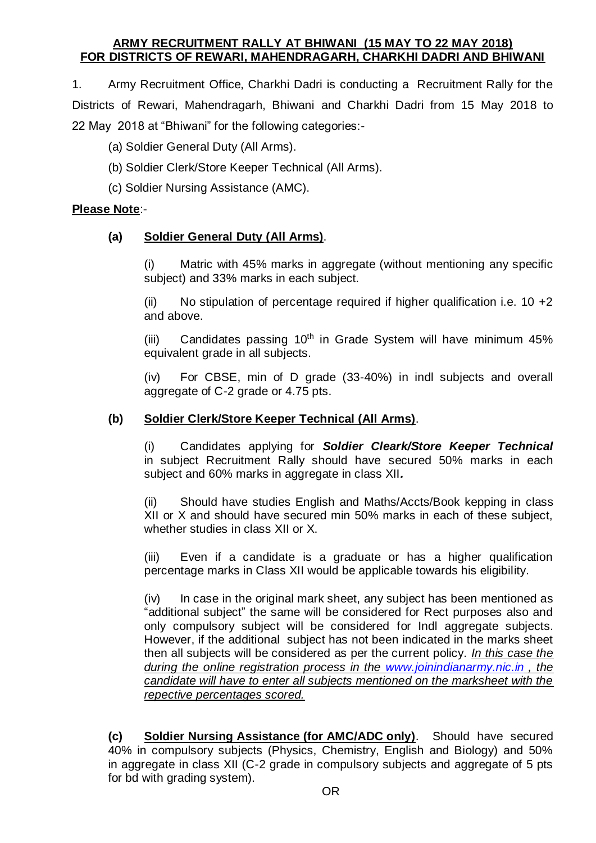## **ARMY RECRUITMENT RALLY AT BHIWANI (15 MAY TO 22 MAY 2018) FOR DISTRICTS OF REWARI, MAHENDRAGARH, CHARKHI DADRI AND BHIWANI**

1. Army Recruitment Office, Charkhi Dadri is conducting a Recruitment Rally for the Districts of Rewari, Mahendragarh, Bhiwani and Charkhi Dadri from 15 May 2018 to 22 May 2018 at "Bhiwani" for the following categories:-

(a) Soldier General Duty (All Arms).

- (b) Soldier Clerk/Store Keeper Technical (All Arms).
- (c) Soldier Nursing Assistance (AMC).

## **Please Note**:-

## **(a) Soldier General Duty (All Arms)**.

(i) Matric with 45% marks in aggregate (without mentioning any specific subject) and 33% marks in each subject.

(ii) No stipulation of percentage required if higher qualification i.e.  $10 + 2$ and above.

(iii) Candidates passing  $10<sup>th</sup>$  in Grade System will have minimum 45% equivalent grade in all subjects.

(iv) For CBSE, min of D grade (33-40%) in indl subjects and overall aggregate of C-2 grade or 4.75 pts.

## **(b) Soldier Clerk/Store Keeper Technical (All Arms)**.

(i) Candidates applying for *Soldier Cleark/Store Keeper Technical*  in subject Recruitment Rally should have secured 50% marks in each subject and 60% marks in aggregate in class XII*.*

(ii) Should have studies English and Maths/Accts/Book kepping in class XII or X and should have secured min 50% marks in each of these subject, whether studies in class XII or X.

(iii) Even if a candidate is a graduate or has a higher qualification percentage marks in Class XII would be applicable towards his eligibility.

(iv) In case in the original mark sheet, any subject has been mentioned as "additional subject" the same will be considered for Rect purposes also and only compulsory subject will be considered for Indl aggregate subjects. However, if the additional subject has not been indicated in the marks sheet then all subjects will be considered as per the current policy. *In this case the during the online registration process in the [www.joinindianarmy.nic.in](http://www.joinindianarmy.nic.in/) , the candidate will have to enter all subjects mentioned on the marksheet with the repective percentages scored.* 

**(c) Soldier Nursing Assistance (for AMC/ADC only)**. Should have secured 40% in compulsory subjects (Physics, Chemistry, English and Biology) and 50% in aggregate in class XII (C-2 grade in compulsory subjects and aggregate of 5 pts for bd with grading system).